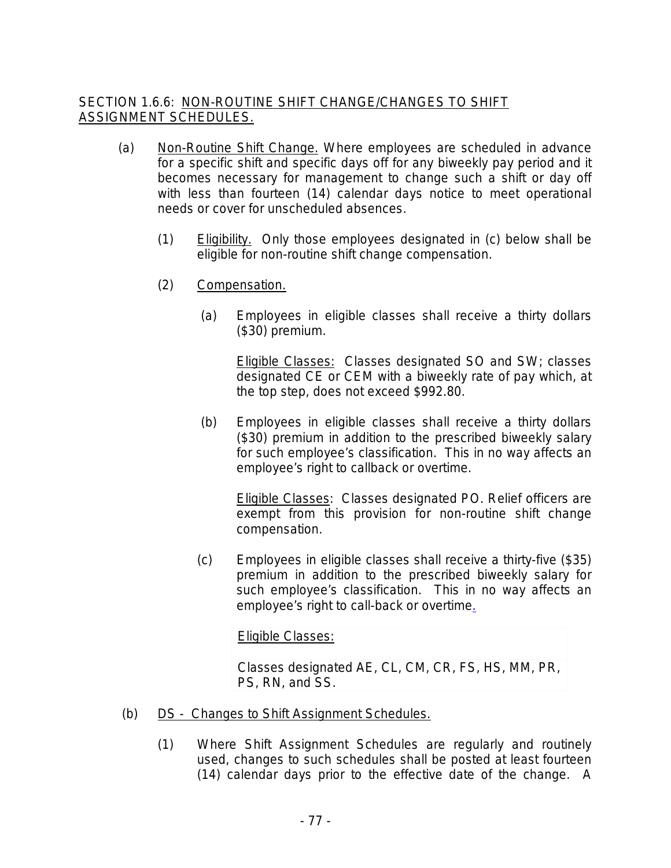## SECTION 1.6.6: NON-ROUTINE SHIFT CHANGE/CHANGES TO SHIFT ASSIGNMENT SCHEDULES.

- (a) Non-Routine Shift Change. Where employees are scheduled in advance for a specific shift and specific days off for any biweekly pay period and it becomes necessary for management to change such a shift or day off with less than fourteen (14) calendar days notice to meet operational needs or cover for unscheduled absences.
	- (1) Eligibility. Only those employees designated in (c) below shall be eligible for non-routine shift change compensation.
	- (2) Compensation.
		- (a) Employees in eligible classes shall receive a thirty dollars (\$30) premium.

**Eligible Classes: Classes designated SO and SW; classes** designated CE or CEM with a biweekly rate of pay which, at the top step, does not exceed \$992.80.

(b) Employees in eligible classes shall receive a thirty dollars (\$30) premium in addition to the prescribed biweekly salary for such employee's classification. This in no way affects an employee's right to callback or overtime.

Eligible Classes: Classes designated PO. Relief officers are exempt from this provision for non-routine shift change compensation.

(c) Employees in eligible classes shall receive a thirty-five (\$35) premium in addition to the prescribed biweekly salary for such employee's classification. This in no way affects an employee's right to call-back or overtime.

Eligible Classes:

Classes designated AE, CL, CM, CR, FS, HS, MM, PR, PS, RN, and SS.

- (b) DS Changes to Shift Assignment Schedules.
	- (1) Where Shift Assignment Schedules are regularly and routinely used, changes to such schedules shall be posted at least fourteen (14) calendar days prior to the effective date of the change. A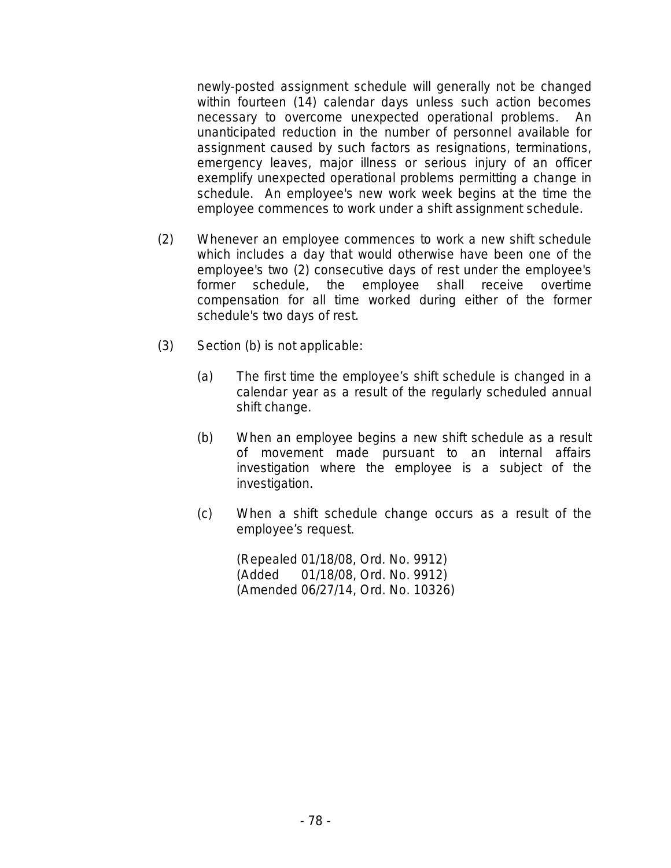newly-posted assignment schedule will generally not be changed within fourteen (14) calendar days unless such action becomes necessary to overcome unexpected operational problems. An unanticipated reduction in the number of personnel available for assignment caused by such factors as resignations, terminations, emergency leaves, major illness or serious injury of an officer exemplify unexpected operational problems permitting a change in schedule. An employee's new work week begins at the time the employee commences to work under a shift assignment schedule.

- (2) Whenever an employee commences to work a new shift schedule which includes a day that would otherwise have been one of the employee's two (2) consecutive days of rest under the employee's former schedule, the employee shall receive overtime compensation for all time worked during either of the former schedule's two days of rest.
- (3) Section (b) is not applicable:
	- (a) The first time the employee's shift schedule is changed in a calendar year as a result of the regularly scheduled annual shift change.
	- (b) When an employee begins a new shift schedule as a result of movement made pursuant to an internal affairs investigation where the employee is a subject of the investigation.
	- (c) When a shift schedule change occurs as a result of the employee's request.

(Repealed 01/18/08, Ord. No. 9912) (Added 01/18/08, Ord. No. 9912) (Amended 06/27/14, Ord. No. 10326)